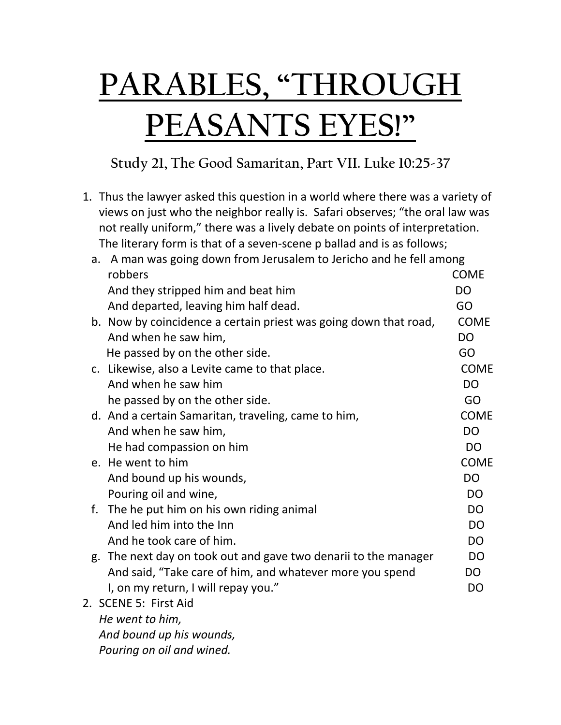## **PARABLES, "THROUGH PEASANTS EYES!"**

**Study 21, The Good Samaritan, Part VII. Luke 10:25-37**

1. Thus the lawyer asked this question in a world where there was a variety of views on just who the neighbor really is. Safari observes; "the oral law was not really uniform," there was a lively debate on points of interpretation. The literary form is that of a seven-scene p ballad and is as follows;

| а. | A man was going down from Jerusalem to Jericho and he fell among |                |
|----|------------------------------------------------------------------|----------------|
|    | robbers                                                          | <b>COME</b>    |
|    | And they stripped him and beat him                               | <b>DO</b>      |
|    | And departed, leaving him half dead.                             | GO             |
|    | b. Now by coincidence a certain priest was going down that road, | <b>COME</b>    |
|    | And when he saw him,                                             | <b>DO</b>      |
|    | He passed by on the other side.                                  | GO             |
|    | c. Likewise, also a Levite came to that place.                   | <b>COME</b>    |
|    | And when he saw him                                              | <b>DO</b>      |
|    | he passed by on the other side.                                  | GO             |
|    | d. And a certain Samaritan, traveling, came to him,              | <b>COME</b>    |
|    | And when he saw him,                                             | <b>DO</b>      |
|    | He had compassion on him                                         | D <sub>O</sub> |
|    | e. He went to him                                                | <b>COME</b>    |
|    | And bound up his wounds,                                         | <b>DO</b>      |
|    | Pouring oil and wine,                                            | <b>DO</b>      |
|    | f. The he put him on his own riding animal                       | D <sub>O</sub> |
|    | And led him into the Inn                                         | <b>DO</b>      |
|    | And he took care of him.                                         | <b>DO</b>      |
|    | g. The next day on took out and gave two denarii to the manager  | <b>DO</b>      |
|    | And said, "Take care of him, and whatever more you spend         | DO             |
|    | I, on my return, I will repay you."                              | D <sub>O</sub> |
|    | 2. SCENE 5: First Aid                                            |                |
|    | He went to him,                                                  |                |
|    |                                                                  |                |

*And bound up his wounds,*

*Pouring on oil and wined.*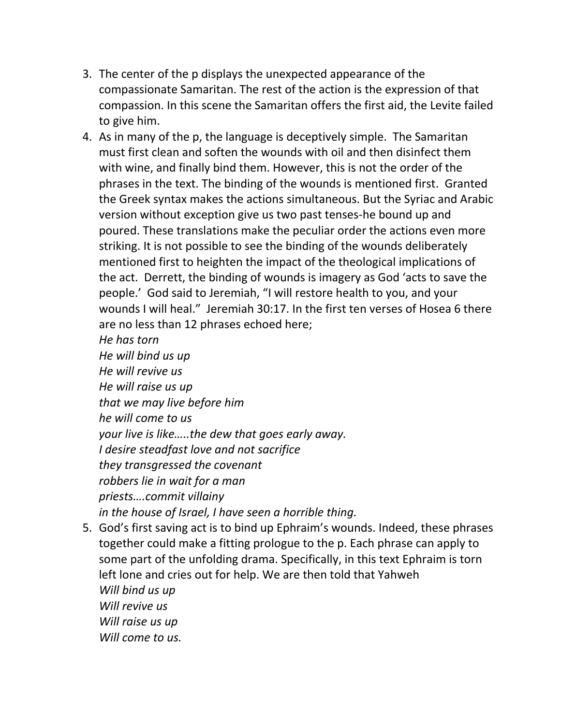- 3. The center of the p displays the unexpected appearance of the compassionate Samaritan. The rest of the action is the expression of that compassion. In this scene the Samaritan offers the first aid, the Levite failed to give him.
- 4. As in many of the p, the language is deceptively simple. The Samaritan must first clean and soften the wounds with oil and then disinfect them with wine, and finally bind them. However, this is not the order of the phrases in the text. The binding of the wounds is mentioned first. Granted the Greek syntax makes the actions simultaneous. But the Syriac and Arabic version without exception give us two past tenses-he bound up and poured. These translations make the peculiar order the actions even more striking. It is not possible to see the binding of the wounds deliberately mentioned first to heighten the impact of the theological implications of the act. Derrett, the binding of wounds is imagery as God 'acts to save the people.' God said to Jeremiah, "I will restore health to you, and your wounds I will heal." Jeremiah 30:17. In the first ten verses of Hosea 6 there are no less than 12 phrases echoed here;

*He has torn* 

*He will bind us up He will revive us He will raise us up that we may live before him he will come to us your live is like…..the dew that goes early away. I desire steadfast love and not sacrifice they transgressed the covenant robbers lie in wait for a man priests….commit villainy in the house of Israel, I have seen a horrible thing.* 

5. God's first saving act is to bind up Ephraim's wounds. Indeed, these phrases together could make a fitting prologue to the p. Each phrase can apply to some part of the unfolding drama. Specifically, in this text Ephraim is torn left lone and cries out for help. We are then told that Yahweh *Will bind us up Will revive us Will raise us up Will come to us.*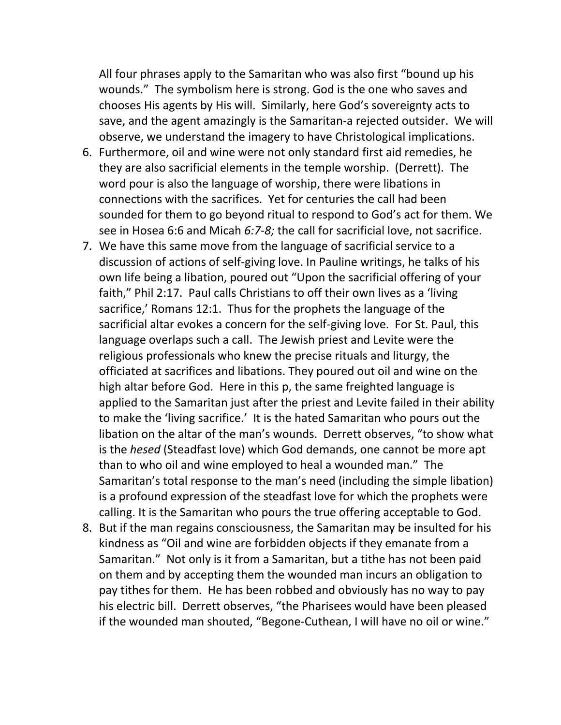All four phrases apply to the Samaritan who was also first "bound up his wounds." The symbolism here is strong. God is the one who saves and chooses His agents by His will. Similarly, here God's sovereignty acts to save, and the agent amazingly is the Samaritan-a rejected outsider. We will observe, we understand the imagery to have Christological implications.

- 6. Furthermore, oil and wine were not only standard first aid remedies, he they are also sacrificial elements in the temple worship. (Derrett). The word pour is also the language of worship, there were libations in connections with the sacrifices. Yet for centuries the call had been sounded for them to go beyond ritual to respond to God's act for them. We see in Hosea 6:6 and Micah *6:7-8;* the call for sacrificial love, not sacrifice.
- 7. We have this same move from the language of sacrificial service to a discussion of actions of self-giving love. In Pauline writings, he talks of his own life being a libation, poured out "Upon the sacrificial offering of your faith," Phil 2:17. Paul calls Christians to off their own lives as a 'living sacrifice,' Romans 12:1. Thus for the prophets the language of the sacrificial altar evokes a concern for the self-giving love. For St. Paul, this language overlaps such a call. The Jewish priest and Levite were the religious professionals who knew the precise rituals and liturgy, the officiated at sacrifices and libations. They poured out oil and wine on the high altar before God. Here in this p, the same freighted language is applied to the Samaritan just after the priest and Levite failed in their ability to make the 'living sacrifice.' It is the hated Samaritan who pours out the libation on the altar of the man's wounds. Derrett observes, "to show what is the *hesed* (Steadfast love) which God demands, one cannot be more apt than to who oil and wine employed to heal a wounded man." The Samaritan's total response to the man's need (including the simple libation) is a profound expression of the steadfast love for which the prophets were calling. It is the Samaritan who pours the true offering acceptable to God.
- 8. But if the man regains consciousness, the Samaritan may be insulted for his kindness as "Oil and wine are forbidden objects if they emanate from a Samaritan." Not only is it from a Samaritan, but a tithe has not been paid on them and by accepting them the wounded man incurs an obligation to pay tithes for them. He has been robbed and obviously has no way to pay his electric bill. Derrett observes, "the Pharisees would have been pleased if the wounded man shouted, "Begone-Cuthean, I will have no oil or wine."